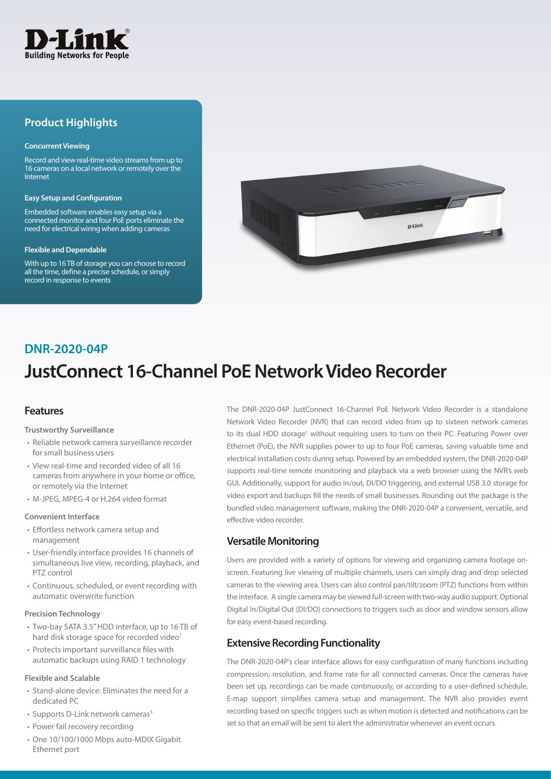

# **Product Highlights**

#### **Concurrent Viewing**

Record and view real-time video streams from up to 16 cameras on a local network or remotely over the Internet

#### **Easy Setup and Configuration**

Embedded software enables easy setup via a connected monitor and four PoE ports eliminate the need for electrical wiring when adding cameras

#### **Flexible and Dependable**

With up to 16 TB of storage you can choose to record all the time, define a precise schedule, or simply record in response to events



# **DNR-2020-04P**

# **JustConnect 16-Channel PoE Network Video Recorder**

## **Features**

#### **Trustworthy Surveillance**

- Reliable network camera surveillance recorder for small business users
- View real-time and recorded video of all 16 cameras from anywhere in your home or office, or remotely via the Internet
- M-JPEG, MPEG-4 or H.264 video format

#### **Convenient Interface**

- Effortless network camera setup and management
- User-friendly interface provides 16 channels of simultaneous live view, recording, playback, and PTZ control
- Continuous, scheduled, or event recording with automatic overwrite function

#### **Precision Technology**

- Two-bay SATA 3.5" HDD interface, up to 16 TB of hard disk storage space for recorded video<sup>1</sup>
- Protects important surveillance files with automatic backups using RAID 1 technology

#### **Flexible and Scalable**

- Stand-alone device: Eliminates the need for a dedicated PC
- Supports D-Link network cameras<sup>5</sup>
- Power fail recovery recording
- One 10/100/1000 Mbps auto-MDIX Gigabit Ethernet port

The DNR-2020-04P JustConnect 16-Channel PoE Network Video Recorder is a standalone Network Video Recorder (NVR) that can record video from up to sixteen network cameras to its dual HDD storage<sup>1</sup> without requiring users to turn on their PC. Featuring Power over Ethernet (PoE), the NVR supplies power to up to four PoE cameras, saving valuable time and electrical installation costs during setup. Powered by an embedded system, the DNR-2020-04P supports real-time remote monitoring and playback via a web browser using the NVR's web GUI. Additionally, support for audio in/out, DI/DO triggering, and external USB 3.0 storage for video export and backups fill the needs of small businesses. Rounding out the package is the bundled video management software, making the DNR-2020-04P a convenient, versatile, and effective video recorder.

## **Versatile Monitoring**

Users are provided with a variety of options for viewing and organizing camera footage onscreen. Featuring live viewing of multiple channels, users can simply drag and drop selected cameras to the viewing area. Users can also control pan/tilt/zoom (PTZ) functions from within the interface. A single camera may be viewed full-screen with two-way audio support. Optional Digital In/Digital Out (DI/DO) connections to triggers such as door and window sensors allow for easy event-based recording.

## **Extensive Recording Functionality**

The DNR-2020-04P's clear interface allows for easy configuration of many functions including compression, resolution, and frame rate for all connected cameras. Once the cameras have been set up, recordings can be made continuously, or according to a user-defined schedule. E-map support simplifies camera setup and management. The NVR also provides event recording based on specific triggers such as when motion is detected and notifications can be set so that an email will be sent to alert the administrator whenever an event occurs.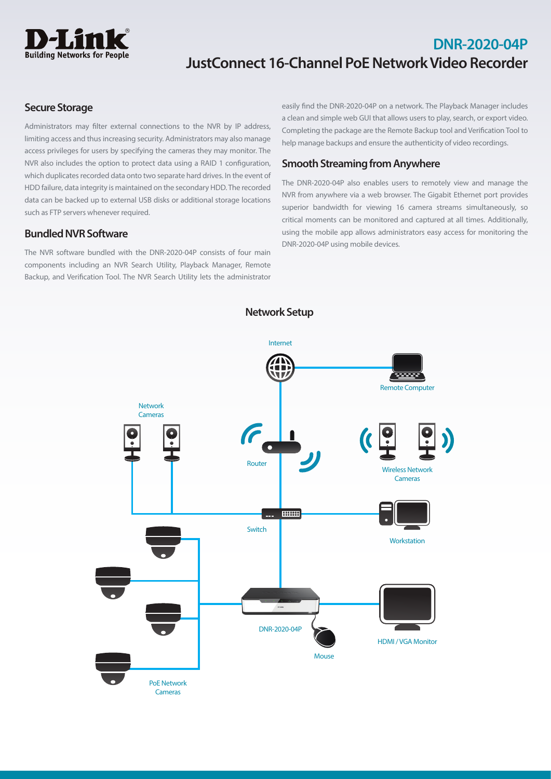

# **DNR-2020-04P JustConnect 16-Channel PoE Network Video Recorder**

# **Secure Storage**

Administrators may filter external connections to the NVR by IP address, limiting access and thus increasing security. Administrators may also manage access privileges for users by specifying the cameras they may monitor. The NVR also includes the option to protect data using a RAID 1 configuration, which duplicates recorded data onto two separate hard drives. In the event of HDD failure, data integrity is maintained on the secondary HDD. The recorded data can be backed up to external USB disks or additional storage locations such as FTP servers whenever required.

# **Bundled NVR Software**

The NVR software bundled with the DNR-2020-04P consists of four main components including an NVR Search Utility, Playback Manager, Remote Backup, and Verification Tool. The NVR Search Utility lets the administrator

easily find the DNR-2020-04P on a network. The Playback Manager includes a clean and simple web GUI that allows users to play, search, or export video. Completing the package are the Remote Backup tool and Verification Tool to help manage backups and ensure the authenticity of video recordings.

# **Smooth Streaming from Anywhere**

The DNR-2020-04P also enables users to remotely view and manage the NVR from anywhere via a web browser. The Gigabit Ethernet port provides superior bandwidth for viewing 16 camera streams simultaneously, so critical moments can be monitored and captured at all times. Additionally, using the mobile app allows administrators easy access for monitoring the DNR-2020-04P using mobile devices.



**Network Setup**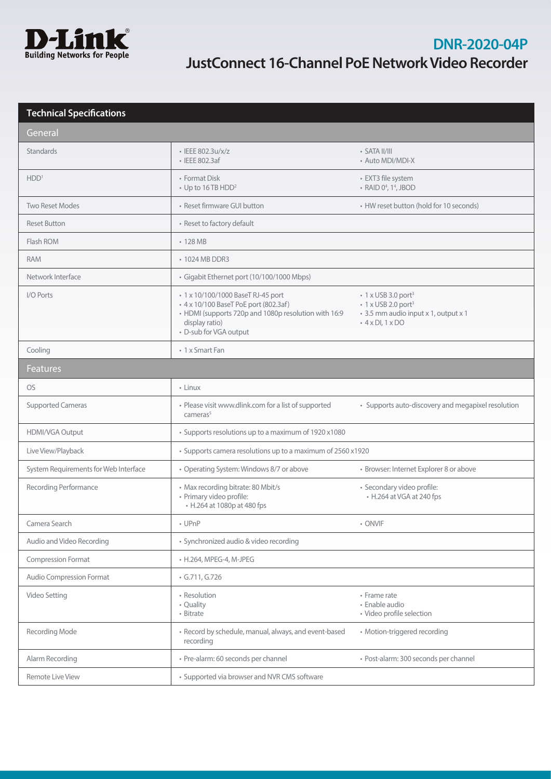

| <b>Technical Specifications</b>       |                                                                                                                                                                                 |                                                                                                                                                  |  |  |
|---------------------------------------|---------------------------------------------------------------------------------------------------------------------------------------------------------------------------------|--------------------------------------------------------------------------------------------------------------------------------------------------|--|--|
| General                               |                                                                                                                                                                                 |                                                                                                                                                  |  |  |
| <b>Standards</b>                      | · IEEE 802.3u/x/z<br>• IEEE 802.3af                                                                                                                                             | $\cdot$ SATA II/III<br>• Auto MDI/MDI-X                                                                                                          |  |  |
| HDD <sup>1</sup>                      | • Format Disk<br>• Up to 16 TB HDD <sup>2</sup>                                                                                                                                 | • EXT3 file system<br>• RAID 0 <sup>4</sup> , 1 <sup>4</sup> , JBOD                                                                              |  |  |
| <b>Two Reset Modes</b>                | • Reset firmware GUI button                                                                                                                                                     | • HW reset button (hold for 10 seconds)                                                                                                          |  |  |
| <b>Reset Button</b>                   | • Reset to factory default                                                                                                                                                      |                                                                                                                                                  |  |  |
| Flash ROM                             | $\cdot$ 128 MB                                                                                                                                                                  |                                                                                                                                                  |  |  |
| <b>RAM</b>                            | • 1024 MB DDR3                                                                                                                                                                  |                                                                                                                                                  |  |  |
| Network Interface                     | · Gigabit Ethernet port (10/100/1000 Mbps)                                                                                                                                      |                                                                                                                                                  |  |  |
| I/O Ports                             | • 1 x 10/100/1000 BaseT RJ-45 port<br>• 4 x 10/100 BaseT PoE port (802.3af)<br>• HDMI (supports 720p and 1080p resolution with 16:9<br>display ratio)<br>• D-sub for VGA output | $\cdot$ 1 x USB 3.0 port <sup>3</sup><br>$\cdot$ 1 x USB 2.0 port <sup>3</sup><br>* 3.5 mm audio input x 1, output x 1<br>$\cdot$ 4 x DI, 1 x DO |  |  |
| Cooling                               | • 1 x Smart Fan                                                                                                                                                                 |                                                                                                                                                  |  |  |
| <b>Features</b>                       |                                                                                                                                                                                 |                                                                                                                                                  |  |  |
| <b>OS</b>                             | • Linux                                                                                                                                                                         |                                                                                                                                                  |  |  |
| <b>Supported Cameras</b>              | • Please visit www.dlink.com for a list of supported<br>cameras <sup>5</sup>                                                                                                    | • Supports auto-discovery and megapixel resolution                                                                                               |  |  |
| HDMI/VGA Output                       | • Supports resolutions up to a maximum of 1920 x1080                                                                                                                            |                                                                                                                                                  |  |  |
| Live View/Playback                    | • Supports camera resolutions up to a maximum of 2560 x1920                                                                                                                     |                                                                                                                                                  |  |  |
| System Requirements for Web Interface | • Operating System: Windows 8/7 or above                                                                                                                                        | • Browser: Internet Explorer 8 or above                                                                                                          |  |  |
| Recording Performance                 | • Max recording bitrate: 80 Mbit/s<br>· Primary video profile:<br>• H.264 at 1080p at 480 fps                                                                                   | · Secondary video profile:<br>• H.264 at VGA at 240 fps                                                                                          |  |  |
| Camera Search                         | • UPnP                                                                                                                                                                          | • ONVIF                                                                                                                                          |  |  |
| Audio and Video Recording             | · Synchronized audio & video recording                                                                                                                                          |                                                                                                                                                  |  |  |
| <b>Compression Format</b>             | • H.264, MPEG-4, M-JPEG                                                                                                                                                         |                                                                                                                                                  |  |  |
| Audio Compression Format              | $\cdot$ G.711, G.726                                                                                                                                                            |                                                                                                                                                  |  |  |
| Video Setting                         | • Resolution<br>• Quality<br>• Bitrate                                                                                                                                          | • Frame rate<br>· Enable audio<br>• Video profile selection                                                                                      |  |  |
| Recording Mode                        | • Record by schedule, manual, always, and event-based<br>recording                                                                                                              | • Motion-triggered recording                                                                                                                     |  |  |
| Alarm Recording                       | · Pre-alarm: 60 seconds per channel                                                                                                                                             | · Post-alarm: 300 seconds per channel                                                                                                            |  |  |
| Remote Live View                      | • Supported via browser and NVR CMS software                                                                                                                                    |                                                                                                                                                  |  |  |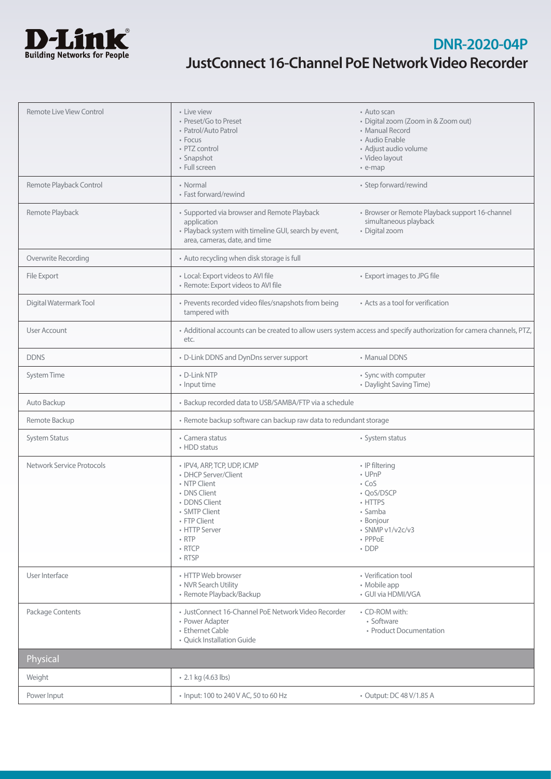

# **DNR-2020-04P JustConnect 16-Channel PoE Network Video Recorder**

| Remote Live View Control  | • Live view<br>• Preset/Go to Preset<br>• Patrol/Auto Patrol<br>• Focus<br>• PTZ control<br>· Snapshot<br>• Full screen                                                                         | • Auto scan<br>· Digital zoom (Zoom in & Zoom out)<br>• Manual Record<br>• Audio Enable<br>· Adjust audio volume<br>· Video layout<br>• e-map |
|---------------------------|-------------------------------------------------------------------------------------------------------------------------------------------------------------------------------------------------|-----------------------------------------------------------------------------------------------------------------------------------------------|
| Remote Playback Control   | • Normal<br>• Fast forward/rewind                                                                                                                                                               | • Step forward/rewind                                                                                                                         |
| Remote Playback           | • Supported via browser and Remote Playback<br>application<br>• Playback system with timeline GUI, search by event,<br>area, cameras, date, and time                                            | · Browser or Remote Playback support 16-channel<br>simultaneous playback<br>· Digital zoom                                                    |
| Overwrite Recording       | • Auto recycling when disk storage is full                                                                                                                                                      |                                                                                                                                               |
| File Export               | • Local: Export videos to AVI file<br>· Remote: Export videos to AVI file                                                                                                                       | • Export images to JPG file                                                                                                                   |
| Digital Watermark Tool    | • Prevents recorded video files/snapshots from being<br>tampered with                                                                                                                           | • Acts as a tool for verification                                                                                                             |
| User Account              | · Additional accounts can be created to allow users system access and specify authorization for camera channels, PTZ,<br>etc.                                                                   |                                                                                                                                               |
| <b>DDNS</b>               | • D-Link DDNS and DynDns server support                                                                                                                                                         | • Manual DDNS                                                                                                                                 |
| System Time               | • D-Link NTP<br>• Input time                                                                                                                                                                    | • Sync with computer<br>• Daylight Saving Time)                                                                                               |
| Auto Backup               | • Backup recorded data to USB/SAMBA/FTP via a schedule                                                                                                                                          |                                                                                                                                               |
| Remote Backup             | • Remote backup software can backup raw data to redundant storage                                                                                                                               |                                                                                                                                               |
| <b>System Status</b>      | • Camera status<br>• HDD status                                                                                                                                                                 | • System status                                                                                                                               |
| Network Service Protocols | · IPV4, ARP, TCP, UDP, ICMP<br>• DHCP Server/Client<br>• NTP Client<br>• DNS Client<br>• DDNS Client<br>• SMTP Client<br>• FTP Client<br>• HTTP Server<br>$\cdot$ RTP<br>$\cdot$ RTCP<br>• RTSP | • IP filtering<br>• UPnP<br>$\cdot$ CoS<br>• QoS/DSCP<br>• HTTPS<br>• Samba<br>• Bonjour<br>$\cdot$ SNMP v1/v2c/v3<br>• PPPoE<br>$\cdot$ DDP  |
| User Interface            | • HTTP Web browser<br>• NVR Search Utility<br>· Remote Playback/Backup                                                                                                                          | • Verification tool<br>• Mobile app<br>· GUI via HDMI/VGA                                                                                     |
| Package Contents          | · JustConnect 16-Channel PoE Network Video Recorder<br>• Power Adapter<br>• Ethernet Cable<br>• Ouick Installation Guide                                                                        | • CD-ROM with:<br>· Software<br>• Product Documentation                                                                                       |
| Physical                  |                                                                                                                                                                                                 |                                                                                                                                               |
| Weight                    | • 2.1 kg (4.63 lbs)                                                                                                                                                                             |                                                                                                                                               |
| Power Input               | • Input: 100 to 240 V AC, 50 to 60 Hz                                                                                                                                                           | • Output: DC 48 V/1.85 A                                                                                                                      |